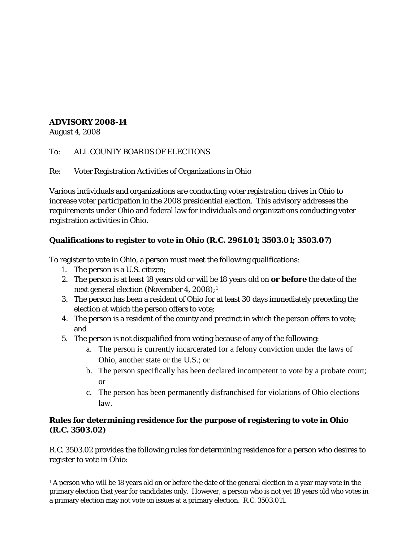## **ADVISORY 2008-14**

August 4, 2008

To: ALL COUNTY BOARDS OF ELECTIONS

Re: Voter Registration Activities of Organizations in Ohio

Various individuals and organizations are conducting voter registration drives in Ohio to increase voter participation in the 2008 presidential election. This advisory addresses the requirements under Ohio and federal law for individuals and organizations conducting voter registration activities in Ohio.

## **Qualifications to register to vote in Ohio (R.C. 2961.01; 3503.01; 3503.07)**

To register to vote in Ohio, a person must meet the following qualifications:

- 1. The person is a U.S. citizen;
- 2. The person is at least 18 years old or will be 18 years old on **or before** the date of the next general election (November 4, 2008);[1](#page-0-0)
- 3. The person has been a resident of Ohio for at least 30 days immediately preceding the election at which the person offers to vote;
- 4. The person is a resident of the county and precinct in which the person offers to vote; and
- 5. The person is not disqualified from voting because of any of the following:
	- a. The person is currently incarcerated for a felony conviction under the laws of Ohio, another state or the U.S.; or
	- b. The person specifically has been declared incompetent to vote by a probate court; or
	- c. The person has been permanently disfranchised for violations of Ohio elections law.

## **Rules for determining residence for the purpose of registering to vote in Ohio (R.C. 3503.02)**

R.C. 3503.02 provides the following rules for determining residence for a person who desires to register to vote in Ohio:

<span id="page-0-0"></span>l <sup>1</sup> A person who will be 18 years old on or before the date of the general election in a year may vote in the primary election that year for candidates only. However, a person who is not yet 18 years old who votes in a primary election may not vote on issues at a primary election. R.C. 3503.011.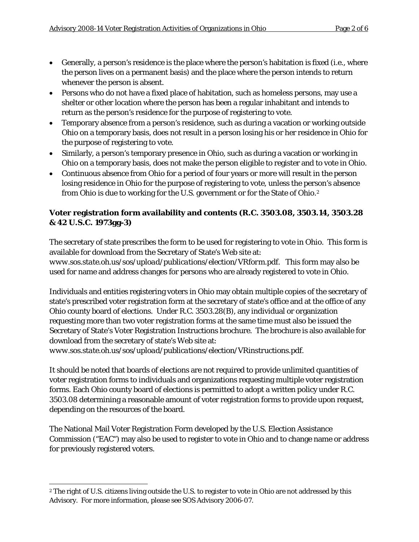- Generally, a person's residence is the place where the person's habitation is fixed (i.e., where the person lives on a permanent basis) and the place where the person intends to return whenever the person is absent.
- Persons who do not have a fixed place of habitation, such as homeless persons, may use a shelter or other location where the person has been a regular inhabitant and intends to return as the person's residence for the purpose of registering to vote.
- Temporary absence from a person's residence, such as during a vacation or working outside Ohio on a temporary basis, does not result in a person losing his or her residence in Ohio for the purpose of registering to vote.
- Similarly, a person's temporary presence in Ohio, such as during a vacation or working in Ohio on a temporary basis, does not make the person eligible to register and to vote in Ohio.
- Continuous absence from Ohio for a period of four years or more will result in the person losing residence in Ohio for the purpose of registering to vote, unless the person's absence from Ohio is due to working for the U.S. government or for the State of Ohio.<sup>[2](#page-1-0)</sup>

# **Voter registration form availability and contents (R.C. 3503.08, 3503.14, 3503.28 & 42 U.S.C. 1973gg-3)**

The secretary of state prescribes the form to be used for registering to vote in Ohio. This form is available for download from the Secretary of State's Web site at: *www.sos.state.oh.us/sos/upload/publications/election/VRform.pdf*. This form may also be used for name and address changes for persons who are already registered to vote in Ohio.

Individuals and entities registering voters in Ohio may obtain multiple copies of the secretary of state's prescribed voter registration form at the secretary of state's office and at the office of any Ohio county board of elections. Under R.C. 3503.28(B), any individual or organization requesting more than two voter registration forms at the same time must also be issued the Secretary of State's Voter Registration Instructions brochure. The brochure is also available for download from the secretary of state's Web site at:

*www.sos.state.oh.us/sos/upload/publications/election/VRinstructions.pdf.*

It should be noted that boards of elections are not required to provide unlimited quantities of voter registration forms to individuals and organizations requesting multiple voter registration forms. Each Ohio county board of elections is permitted to adopt a written policy under R.C. 3503.08 determining a reasonable amount of voter registration forms to provide upon request, depending on the resources of the board.

The National Mail Voter Registration Form developed by the U.S. Election Assistance Commission ("EAC") may also be used to register to vote in Ohio and to change name or address for previously registered voters.

<span id="page-1-0"></span>l <sup>2</sup> The right of U.S. citizens living outside the U.S. to register to vote in Ohio are not addressed by this Advisory. For more information, please see SOS Advisory 2006-07.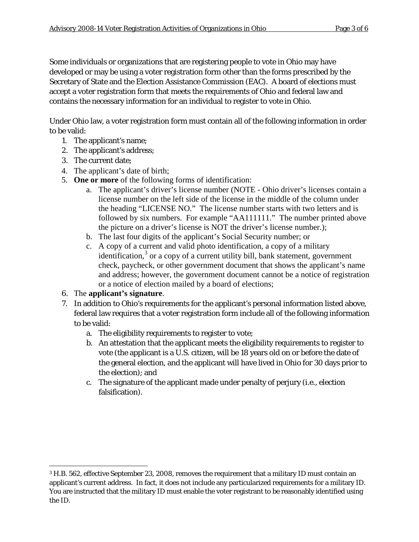Some individuals or organizations that are registering people to vote in Ohio may have developed or may be using a voter registration form other than the forms prescribed by the Secretary of State and the Election Assistance Commission (EAC). A board of elections must accept a voter registration form that meets the requirements of Ohio and federal law and contains the necessary information for an individual to register to vote in Ohio.

Under Ohio law, a voter registration form must contain all of the following information in order to be valid:

- 1. The applicant's name;
- 2. The applicant's address;
- 3. The current date;
- 4. The applicant's date of birth;
- 5. **One or more** of the following forms of identification:
	- a. The applicant's driver's license number (NOTE Ohio driver's licenses contain a license number on the left side of the license in the middle of the column under the heading "LICENSE NO." The license number starts with two letters and is followed by six numbers. For example "AA111111." The number printed above the picture on a driver's license is NOT the driver's license number.);
	- b. The last four digits of the applicant's Social Security number; or
	- c. A copy of a current and valid photo identification, a copy of a military identification, $3$  or a copy of a current utility bill, bank statement, government check, paycheck, or other government document that shows the applicant's name and address; however, the government document cannot be a notice of registration or a notice of election mailed by a board of elections;
- 6. The **applicant's signature**.
- 7. In addition to Ohio's requirements for the applicant's personal information listed above, federal law requires that a voter registration form include all of the following information to be valid:
	- a. The eligibility requirements to register to vote;
	- b. An attestation that the applicant meets the eligibility requirements to register to vote (the applicant is a U.S. citizen, will be 18 years old on or before the date of the general election, and the applicant will have lived in Ohio for 30 days prior to the election); and
	- c. The signature of the applicant made under penalty of perjury (i.e., election falsification).

<span id="page-2-0"></span> $\overline{\phantom{a}}$ <sup>3</sup> H.B. 562, effective September 23, 2008, removes the requirement that a military ID must contain an applicant's current address. In fact, it does not include any particularized requirements for a military ID. You are instructed that the military ID must enable the voter registrant to be reasonably identified using the ID.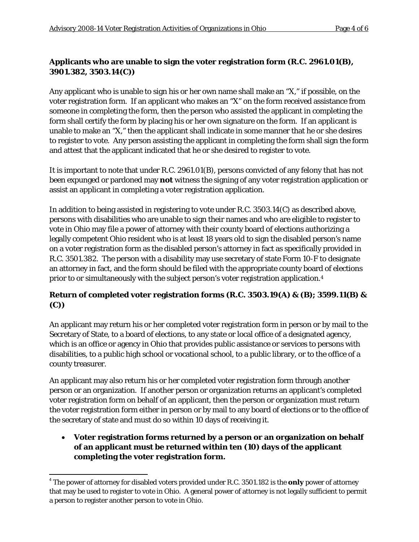# **Applicants who are unable to sign the voter registration form (R.C. 2961.01(B), 3901.382, 3503.14(C))**

Any applicant who is unable to sign his or her own name shall make an "X," if possible, on the voter registration form. If an applicant who makes an "X" on the form received assistance from someone in completing the form, then the person who assisted the applicant in completing the form shall certify the form by placing his or her own signature on the form. If an applicant is unable to make an "X," then the applicant shall indicate in some manner that he or she desires to register to vote. Any person assisting the applicant in completing the form shall sign the form and attest that the applicant indicated that he or she desired to register to vote.

It is important to note that under R.C. 2961.01(B), persons convicted of any felony that has not been expunged or pardoned may **not** witness the signing of any voter registration application or assist an applicant in completing a voter registration application.

In addition to being assisted in registering to vote under R.C. 3503.14(C) as described above, persons with disabilities who are unable to sign their names and who are eligible to register to vote in Ohio may file a power of attorney with their county board of elections authorizing a legally competent Ohio resident who is at least 18 years old to sign the disabled person's name on a voter registration form as the disabled person's attorney in fact as specifically provided in R.C. 3501.382. The person with a disability may use secretary of state Form 10-F to designate an attorney in fact, and the form should be filed with the appropriate county board of elections prior to or simultaneously with the subject person's voter registration application.[4](#page-3-0)

## **Return of completed voter registration forms (R.C. 3503.19(A) & (B); 3599.11(B) & (C))**

An applicant may return his or her completed voter registration form in person or by mail to the Secretary of State, to a board of elections, to any state or local office of a designated agency, which is an office or agency in Ohio that provides public assistance or services to persons with disabilities, to a public high school or vocational school, to a public library, or to the office of a county treasurer.

An applicant may also return his or her completed voter registration form through another person or an organization. If another person or organization returns an applicant's completed voter registration form on behalf of an applicant, then the person or organization must return the voter registration form either in person or by mail to any board of elections or to the office of the secretary of state and must do so within 10 days of receiving it.

• **Voter registration forms returned by a person or an organization on behalf of an applicant must be returned within ten (10) days of the applicant completing the voter registration form.** 

<span id="page-3-0"></span> <sup>4</sup> The power of attorney for disabled voters provided under R.C. 3501.182 is the **only** power of attorney that may be used to register to vote in Ohio. A general power of attorney is not legally sufficient to permit a person to register another person to vote in Ohio.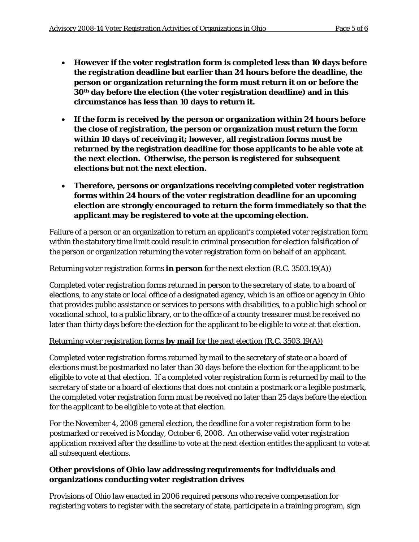- **However if the voter registration form is completed less than 10 days before the registration deadline but earlier than 24 hours before the deadline, the person or organization returning the form must return it on or before the 30th day before the election (the voter registration deadline) and in this circumstance has less than 10 days to return it.**
- **If the form is received by the person or organization within 24 hours before the close of registration, the person or organization must return the form within 10 days of receiving it; however, all registration forms must be returned by the registration deadline for those applicants to be able vote at the next election. Otherwise, the person is registered for subsequent elections but not the next election.**
- **Therefore, persons or organizations receiving completed voter registration forms within 24 hours of the voter registration deadline for an upcoming election are strongly encouraged to return the form immediately so that the applicant may be registered to vote at the upcoming election.**

Failure of a person or an organization to return an applicant's completed voter registration form within the statutory time limit could result in criminal prosecution for election falsification of the person or organization returning the voter registration form on behalf of an applicant.

#### Returning voter registration forms **in person** for the next election (R.C. 3503.19(A))

Completed voter registration forms returned in person to the secretary of state, to a board of elections, to any state or local office of a designated agency, which is an office or agency in Ohio that provides public assistance or services to persons with disabilities, to a public high school or vocational school, to a public library, or to the office of a county treasurer must be received no later than thirty days before the election for the applicant to be eligible to vote at that election.

## Returning voter registration forms **by mail** for the next election (R.C. 3503.19(A))

Completed voter registration forms returned by mail to the secretary of state or a board of elections must be postmarked no later than 30 days before the election for the applicant to be eligible to vote at that election. If a completed voter registration form is returned by mail to the secretary of state or a board of elections that does not contain a postmark or a legible postmark, the completed voter registration form must be received no later than 25 days before the election for the applicant to be eligible to vote at that election.

For the November 4, 2008 general election, the deadline for a voter registration form to be postmarked or received is Monday, October 6, 2008. An otherwise valid voter registration application received after the deadline to vote at the next election entitles the applicant to vote at all subsequent elections.

## **Other provisions of Ohio law addressing requirements for individuals and organizations conducting voter registration drives**

Provisions of Ohio law enacted in 2006 required persons who receive compensation for registering voters to register with the secretary of state, participate in a training program, sign